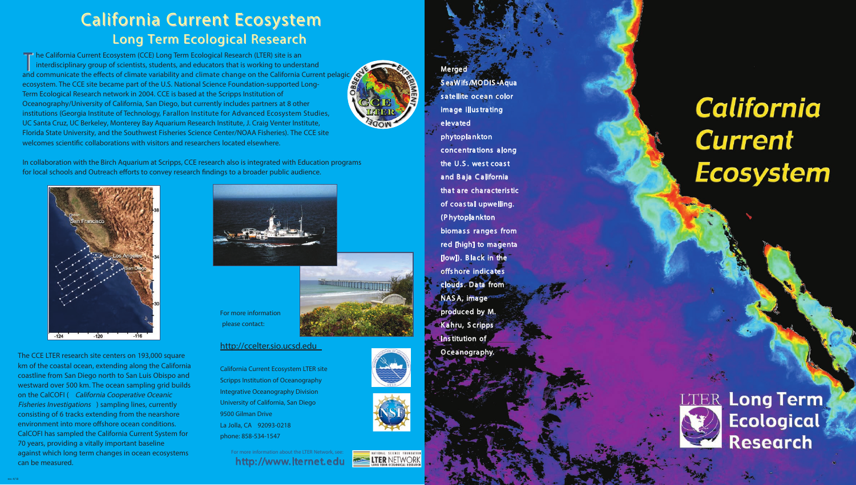**T** he California Current Ecosystem (CCE) Long Term Ecological Research (LTER) site is an interdisciplinary group of scientists, students, and educators that is working to understand and communicate the effects of climate variability and climate change on the California Current pelagic<br>and communicate the effects of climate variability and climate change on the California Current pelagic ecosystem. The CCE site became part of the U.S. National Science Foundation-supported Long-Term Ecological Research network in 2004. CCE is based at the Scripps Institution of Oceanography/University of California, San Diego, but currently includes partners at 8 other institutions (Georgia Institute of Technology, Farallon Institute for Advanced Ecosystem Studies, UC Santa Cruz, UC Berkeley, Monterey Bay Aquarium Research Institute, J. Craig Venter Institute, Florida State University, and the Southwest Fisheries Science Center/NOAA Fisheries). The CCE site welcomes scientifc collaborations with visitors and researchers located elsewhere.

In collaboration with the Birch Aquarium at Scripps, CCE research also is integrated with Education programs for local schools and Outreach efforts to convey research findings to a broader public audience.





# California Current Ecosystem Long Term Ecological Research

**http://www.lternet.edu** For more information about the LTER Network, see:



The CCE LTER research site centers on 193,000 square km of the coastal ocean, extending along the California coastline from San Diego north to San Luis Obispo and westward over 500 km. The ocean sampling grid builds on the CalCOFI ( *California Cooperative Oceanic Fisheries Investigations* ) sampling lines, currently consisting of 6 tracks extending from the nearshore environment into more offshore ocean conditions. CalCOFI has sampled the California Current System for 70 years, providing a vitally important baseline against which long term changes in ocean ecosystems can be measured.



For more information please contact:



### http://ccelter.sio.ucsd.edu

California Current Ecosystem LTER site Scripps Institution of Oceanography Integrative Oceanography Division University of California, San Diego 9500 Gilman Drive La Jolla, CA 92093-0218 phone: 858-534-1547

**Merged**









rev. 4/18

# **California Current Ecosystem**



**LTER Long Term Ecological Research**